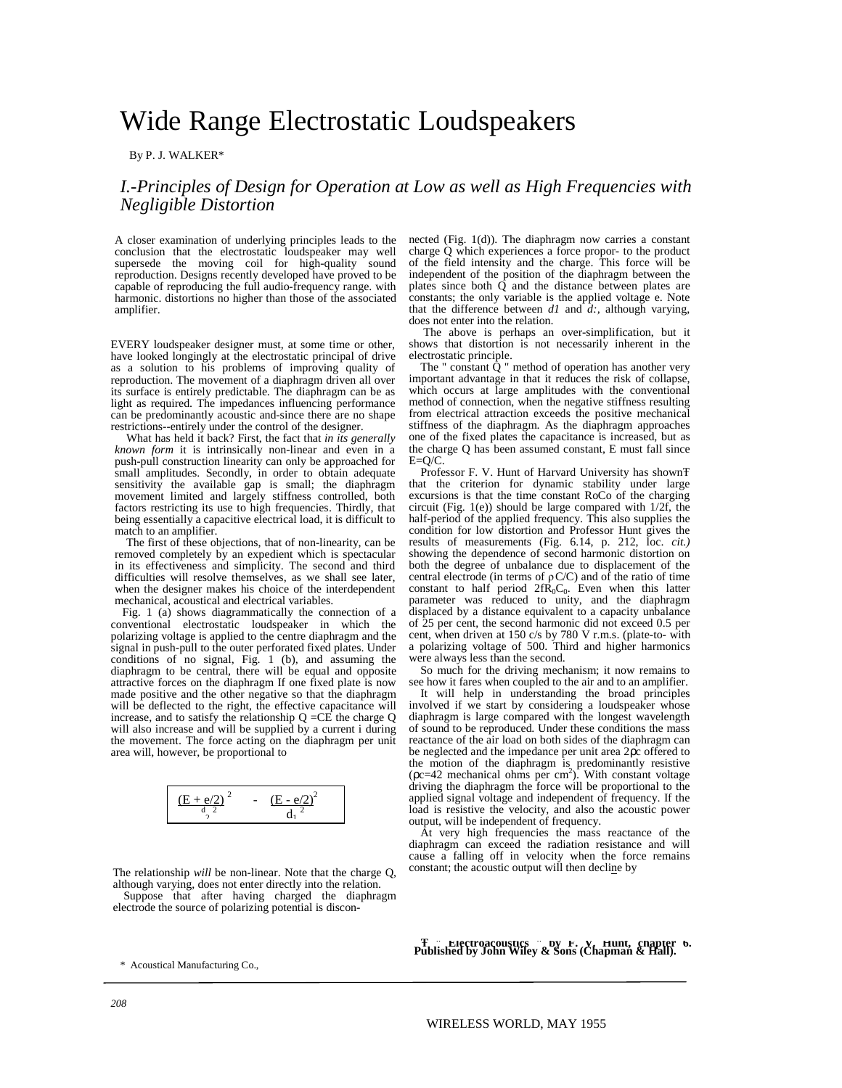# Wide Range Electrostatic Loudspeakers

By P. J. WALKER\*

## *I.-Principles of Design for Operation at Low as well as High Frequencies with Negligible Distortion*

A closer examination of underlying principles leads to the conclusion that the electrostatic loudspeaker may well supersede the moving coil for high-quality sound reproduction. Designs recently developed have proved to be capable of reproducing the full audio-frequency range. with harmonic. distortions no higher than those of the associated amplifier.

EVERY loudspeaker designer must, at some time or other, have looked longingly at the electrostatic principal of drive as a solution to his problems of improving quality of reproduction. The movement of a diaphragm driven all over its surface is entirely predictable. The diaphragm can be as light as required. The impedances influencing performance can be predominantly acoustic and-since there are no shape restrictions--entirely under the control of the designer.

What has held it back? First, the fact that *in its generally known form* it is intrinsically non-linear and even in a push-pull construction linearity can only be approached for small amplitudes. Secondly, in order to obtain adequate sensitivity the available gap is small; the diaphragm movement limited and largely stiffness controlled, both factors restricting its use to high frequencies. Thirdly, that being essentially a capacitive electrical load, it is difficult to match to an amplifier.

The first of these objections, that of non-linearity, can be removed completely by an expedient which is spectacular in its effectiveness and simplicity. The second and third difficulties will resolve themselves, as we shall see later, when the designer makes his choice of the interdependent mechanical, acoustical and electrical variables.

Fig. 1 (a) shows diagrammatically the connection of a conventional electrostatic loudspeaker in which the polarizing voltage is applied to the centre diaphragm and the signal in push-pull to the outer perforated fixed plates. Under conditions of no signal, Fig. 1 (b), and assuming the diaphragm to be central, there will be equal and opposite attractive forces on the diaphragm If one fixed plate is now made positive and the other negative so that the diaphragm will be deflected to the right, the effective capacitance will increase, and to satisfy the relationship  $Q = CE$  the charge Q will also increase and will be supplied by a current i during the movement. The force acting on the diaphragm per unit area will, however, be proportional to

$$
\frac{(E+e/2)^2}{\frac{d}{2}^2} - \frac{(E-e/2)^2}{\frac{d}{1}^2}
$$

The relationship *will* be non-linear. Note that the charge Q, although varying, does not enter directly into the relation. Suppose that after having charged the diaphragm electrode the source of polarizing potential is discon-

nected (Fig. 1(d)). The diaphragm now carries a constant charge Q which experiences a force propor- to the product of the field intensity and the charge. This force will be independent of the position of the diaphragm between the plates since both Q and the distance between plates are constants; the only variable is the applied voltage e. Note that the difference between  $dI$  and  $\overline{d}$ ; although varying, does not enter into the relation.

The above is perhaps an over-simplification, but it shows that distortion is not necessarily inherent in the electrostatic principle.

The " constant  $\ddot{Q}$  " method of operation has another very important advantage in that it reduces the risk of collapse, which occurs at large amplitudes with the conventional method of connection, when the negative stiffness resulting from electrical attraction exceeds the positive mechanical stiffness of the diaphragm. As the diaphragm approaches one of the fixed plates the capacitance is increased, but as the charge Q has been assumed constant, E must fall since E=Q/C.

Professor F. V. Hunt of Harvard University has shown<sup>T</sup> that the criterion for dynamic stability under large excursions is that the time constant RoCo of the charging circuit (Fig. 1(e)) should be large compared with 1/2f, the half-period of the applied frequency. This also supplies the condition for low distortion and Professor Hunt gives the results of measurements (Fig. 6.14, p. 212, loc. *cit.)* showing the dependence of second harmonic distortion on both the degree of unbalance due to displacement of the central electrode (in terms of  $\rho$ C/C) and of the ratio of time constant to half period  $2fR_0C_0$ . Even when this latter parameter was reduced to unity, and the diaphragm displaced by a distance equivalent to a capacity unbalance of 25 per cent, the second harmonic did not exceed 0.5 per cent, when driven at 150 c/s by 780 V r.m.s. (plate-to- with a polarizing voltage of 500. Third and higher harmonics were always less than the second.

So much for the driving mechanism; it now remains to see how it fares when coupled to the air and to an amplifier.

It will help in understanding the broad principles involved if we start by considering a loudspeaker whose diaphragm is large compared with the longest wavelength of sound to be reproduced. Under these conditions the mass reactance of the air load on both sides of the diaphragm can be neglected and the impedance per unit area 2pc offered to the motion of the diaphragm is predominantly resistive  $(\text{pc}=42 \text{ mechanical ohms per cm}^2)$ . With constant voltage driving the diaphragm the force will be proportional to the applied signal voltage and independent of frequency. If the load is resistive the velocity, and also the acoustic power output, will be independent of frequency.

At very high frequencies the mass reactance of the diaphragm can exceed the radiation resistance and will cause a falling off in velocity when the force remains constant; the acoustic output will then decline by

<sup>ˇ</sup> **" Electroacoustics " by F. V. Hunt, chapter 6. Published by John Wiley & Sons (Chapman & Hall).**

\* Acoustical Manufacturing Co.,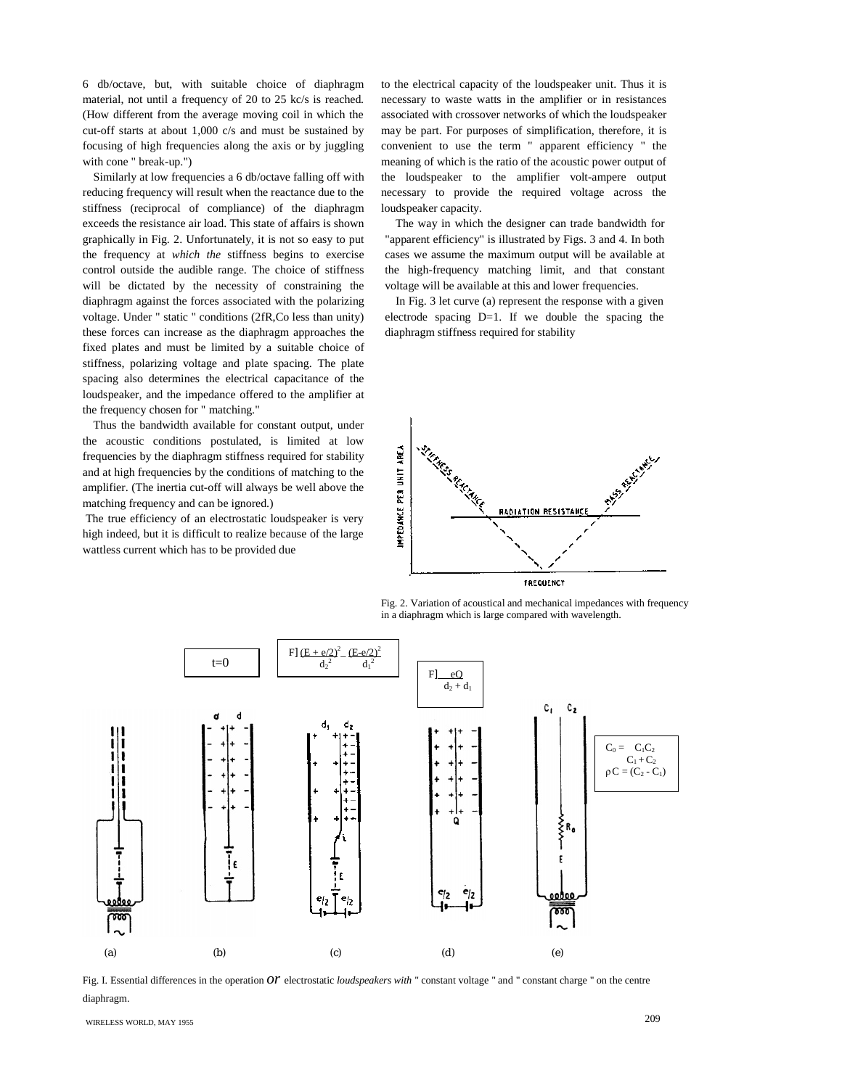6 db/octave, but, with suitable choice of diaphragm material, not until a frequency of 20 to 25 kc/s is reached. (How different from the average moving coil in which the cut-off starts at about 1,000 c/s and must be sustained by focusing of high frequencies along the axis or by juggling with cone " break-up.")

Similarly at low frequencies a 6 db/octave falling off with reducing frequency will result when the reactance due to the stiffness (reciprocal of compliance) of the diaphragm exceeds the resistance air load. This state of affairs is shown graphically in Fig. 2. Unfortunately, it is not so easy to put the frequency at *which the* stiffness begins to exercise control outside the audible range. The choice of stiffness will be dictated by the necessity of constraining the diaphragm against the forces associated with the polarizing voltage. Under " static " conditions (2fR,Co less than unity) these forces can increase as the diaphragm approaches the fixed plates and must be limited by a suitable choice of stiffness, polarizing voltage and plate spacing. The plate spacing also determines the electrical capacitance of the loudspeaker, and the impedance offered to the amplifier at the frequency chosen for " matching."

Thus the bandwidth available for constant output, under the acoustic conditions postulated, is limited at low frequencies by the diaphragm stiffness required for stability and at high frequencies by the conditions of matching to the amplifier. (The inertia cut-off will always be well above the matching frequency and can be ignored.)

The true efficiency of an electrostatic loudspeaker is very high indeed, but it is difficult to realize because of the large wattless current which has to be provided due

to the electrical capacity of the loudspeaker unit. Thus it is necessary to waste watts in the amplifier or in resistances associated with crossover networks of which the loudspeaker may be part. For purposes of simplification, therefore, it is convenient to use the term " apparent efficiency " the meaning of which is the ratio of the acoustic power output of the loudspeaker to the amplifier volt-ampere output necessary to provide the required voltage across the loudspeaker capacity.

The way in which the designer can trade bandwidth for "apparent efficiency" is illustrated by Figs. 3 and 4. In both cases we assume the maximum output will be available at the high-frequency matching limit, and that constant voltage will be available at this and lower frequencies.

In Fig. 3 let curve (a) represent the response with a given electrode spacing  $D=1$ . If we double the spacing the diaphragm stiffness required for stability



Fig. 2. Variation of acoustical and mechanical impedances with frequency in a diaphragm which is large compared with wavelength.



Fig. I. Essential differences in the operation *or* electrostatic *loudspeakers with* " constant voltage " and " constant charge " on the centre diaphragm.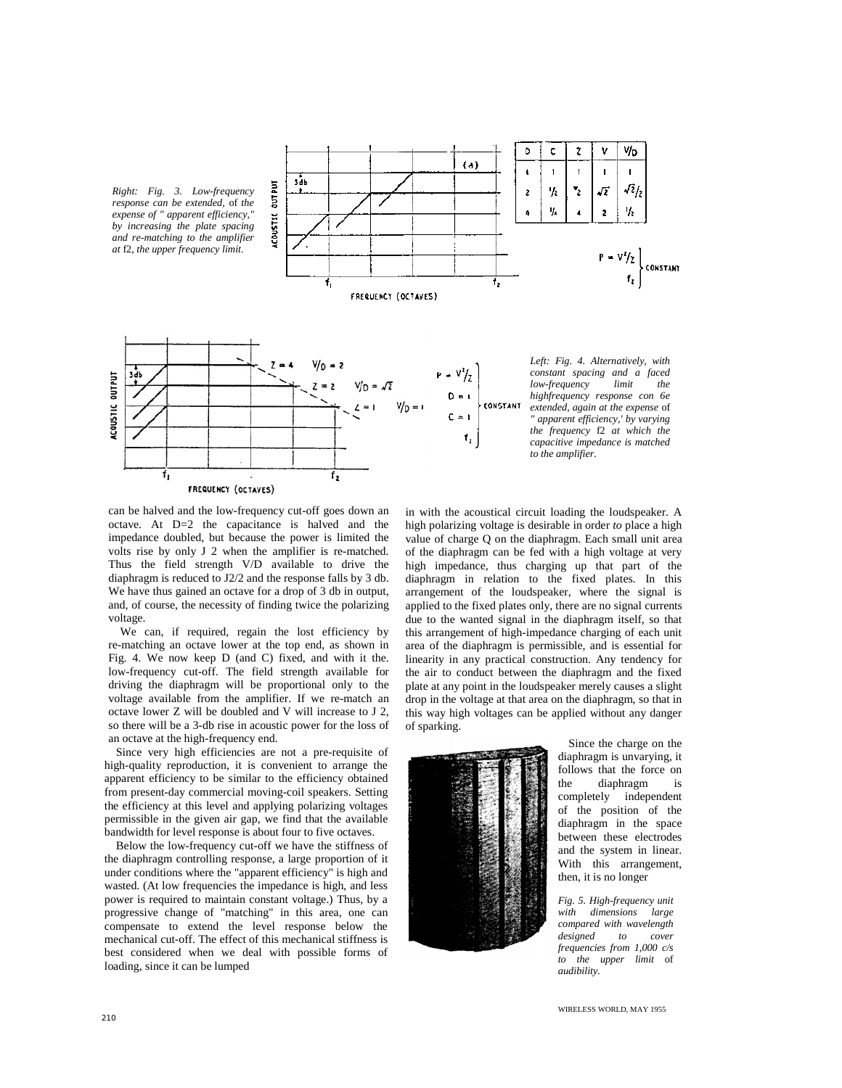

can be halved and the low-frequency cut-off goes down an octave. At D=2 the capacitance is halved and the impedance doubled, but because the power is limited the volts rise by only J 2 when the amplifier is re-matched. Thus the field strength V/D available to drive the diaphragm is reduced to J2/2 and the response falls by 3 db. We have thus gained an octave for a drop of 3 db in output, and, of course, the necessity of finding twice the polarizing voltage.

We can, if required, regain the lost efficiency by re-matching an octave lower at the top end, as shown in Fig. 4. We now keep D (and C) fixed, and with it the. low-frequency cut-off. The field strength available for driving the diaphragm will be proportional only to the voltage available from the amplifier. If we re-match an octave lower Z will be doubled and V will increase to J 2, so there will be a 3-db rise in acoustic power for the loss of an octave at the high-frequency end.

Since very high efficiencies are not a pre-requisite of high-quality reproduction, it is convenient to arrange the apparent efficiency to be similar to the efficiency obtained from present-day commercial moving-coil speakers. Setting the efficiency at this level and applying polarizing voltages permissible in the given air gap, we find that the available bandwidth for level response is about four to five octaves.

Below the low-frequency cut-off we have the stiffness of the diaphragm controlling response, a large proportion of it under conditions where the "apparent efficiency" is high and wasted. (At low frequencies the impedance is high, and less power is required to maintain constant voltage.) Thus, by a progressive change of "matching" in this area, one can compensate to extend the level response below the mechanical cut-off. The effect of this mechanical stiffness is best considered when we deal with possible forms of loading, since it can be lumped

in with the acoustical circuit loading the loudspeaker. A high polarizing voltage is desirable in order *to* place a high value of charge Q on the diaphragm. Each small unit area of the diaphragm can be fed with a high voltage at very high impedance, thus charging up that part of the diaphragm in relation to the fixed plates. In this arrangement of the loudspeaker, where the signal is applied to the fixed plates only, there are no signal currents due to the wanted signal in the diaphragm itself, so that this arrangement of high-impedance charging of each unit area of the diaphragm is permissible, and is essential for linearity in any practical construction. Any tendency for the air to conduct between the diaphragm and the fixed plate at any point in the loudspeaker merely causes a slight drop in the voltage at that area on the diaphragm, so that in this way high voltages can be applied without any danger of sparking.



Since the charge on the diaphragm is unvarying, it follows that the force on the diaphragm is completely independent of the position of the diaphragm in the space between these electrodes and the system in linear. With this arrangement, then, it is no longer

*Fig. 5. High-frequency unit with dimensions large compared with wavelength designed frequencies from 1,000 c/s to the upper limit* of *audibility.*

WIRELESS WORLD, MAY 1955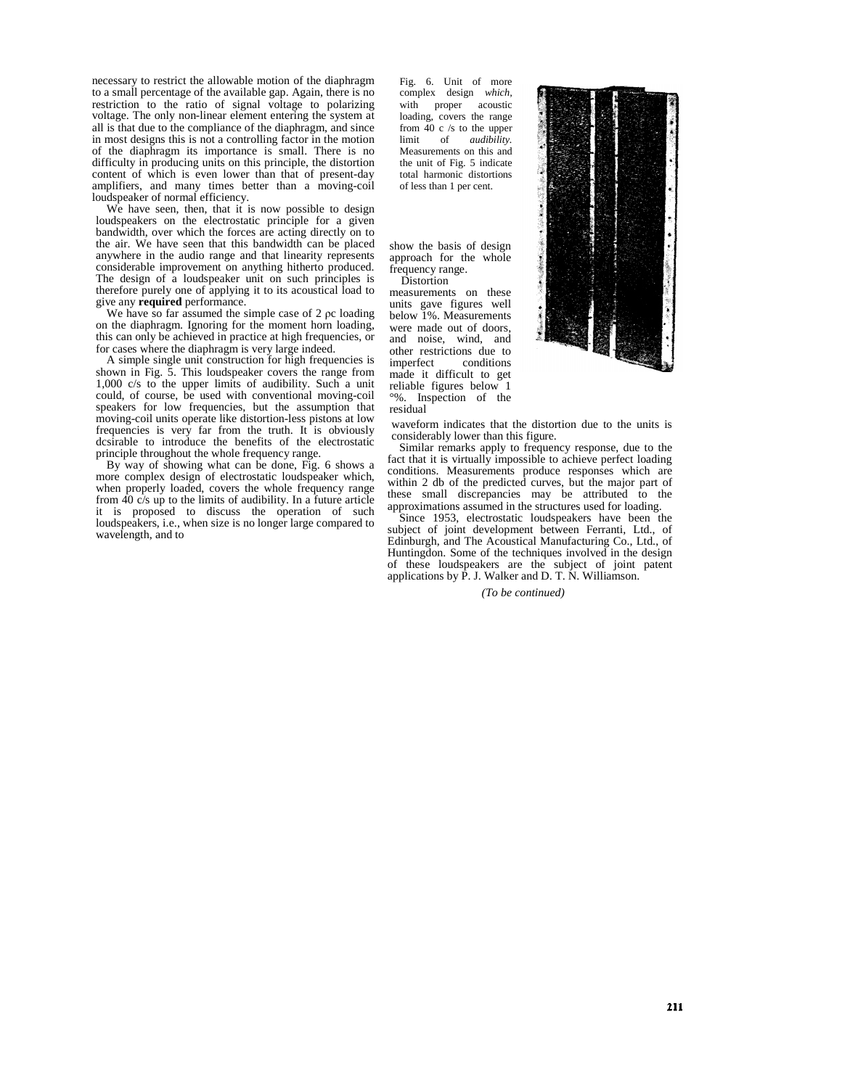necessary to restrict the allowable motion of the diaphragm to a small percentage of the available gap. Again, there is no restriction to the ratio of signal voltage to polarizing voltage. The only non-linear element entering the system at all is that due to the compliance of the diaphragm, and since in most designs this is not a controlling factor in the motion of the diaphragm its importance is small. There is no difficulty in producing units on this principle, the distortion content of which is even lower than that of present-day amplifiers, and many times better than a moving-coil loudspeaker of normal efficiency.

We have seen, then, that it is now possible to design loudspeakers on the electrostatic principle for a given bandwidth, over which the forces are acting directly on to the air. We have seen that this bandwidth can be placed anywhere in the audio range and that linearity represents considerable improvement on anything hitherto produced. The design of a loudspeaker unit on such principles is therefore purely one of applying it to its acoustical load to give any **required** performance.

We have so far assumed the simple case of  $2 \rho c$  loading on the diaphragm. Ignoring for the moment horn loading, this can only be achieved in practice at high frequencies, or for cases where the diaphragm is very large indeed.

A simple single unit construction for high frequencies is shown in Fig. 5. This loudspeaker covers the range from 1,000 c/s to the upper limits of audibility. Such a unit could, of course, be used with conventional moving-coil speakers for low frequencies, but the assumption that moving-coil units operate like distortion-less pistons at low frequencies is very far from the truth. It is obviously dcsirable to introduce the benefits of the electrostatic principle throughout the whole frequency range.

By way of showing what can be done, Fig. 6 shows a more complex design of electrostatic loudspeaker which, when properly loaded, covers the whole frequency range from 40 c/s up to the limits of audibility. In a future article it is proposed to discuss the operation of such loudspeakers, i.e., when size is no longer large compared to wavelength, and to

Fig. 6. Unit of more complex design *which,* with proper acoustic loading, covers the range from 40 c /s to the upper limit of *audibility.* Measurements on this and the unit of Fig. 5 indicate total harmonic distortions of less than 1 per cent.

show the basis of design approach for the whole frequency range. Distortion

measurements on these units gave figures well below 1%. Measurements were made out of doors, and noise, wind, and other restrictions due to conditions made it difficult to get reliable figures below 1 °%. Inspection of the residual



waveform indicates that the distortion due to the units is considerably lower than this figure.

Similar remarks apply to frequency response, due to the fact that it is virtually impossible to achieve perfect loading conditions. Measurements produce responses which are within 2 db of the predicted curves, but the major part of these small discrepancies may be attributed to the approximations assumed in the structures used for loading.

Since 1953, electrostatic loudspeakers have been the subject of joint development between Ferranti, Ltd., of Edinburgh, and The Acoustical Manufacturing Co., Ltd., of Huntingdon. Some of the techniques involved in the design of these loudspeakers are the subject of joint patent applications by P. J. Walker and D. T. N. Williamson.

*(To be continued)*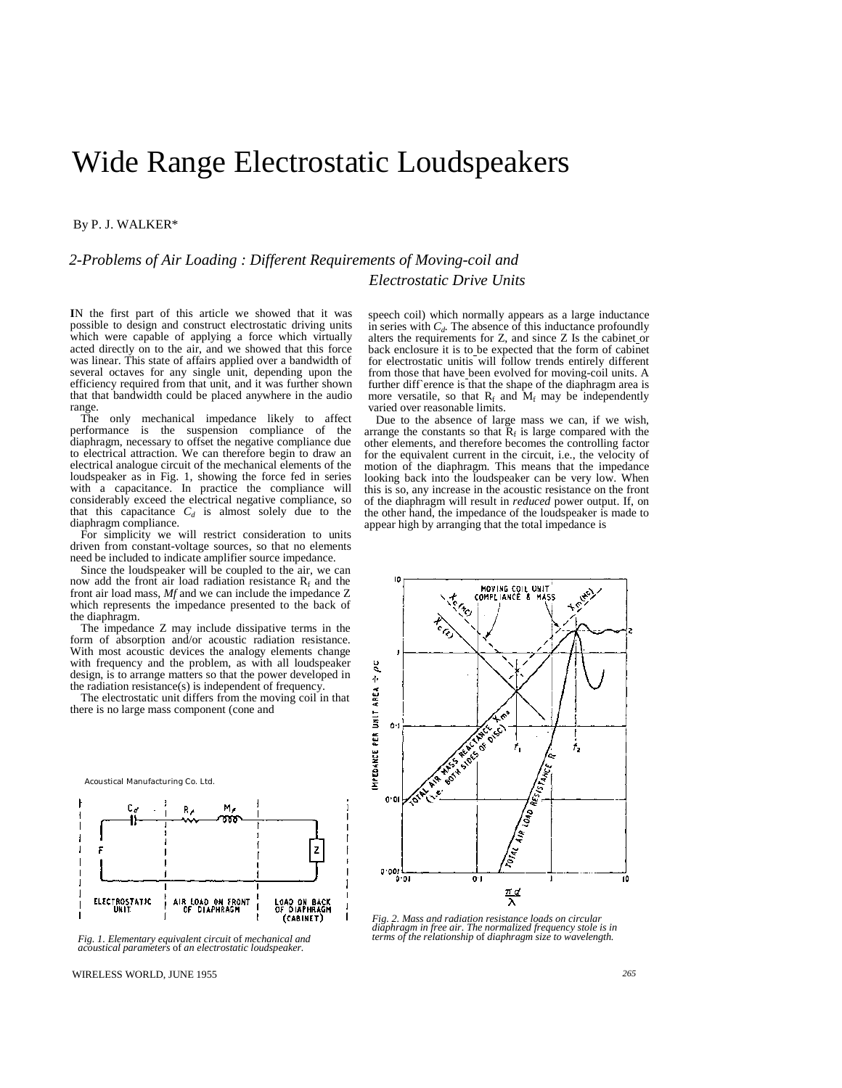# Wide Range Electrostatic Loudspeakers

#### By P. J. WALKER\*

## *2-Problems of Air Loading : Different Requirements of Moving-coil and Electrostatic Drive Units*

**I**N the first part of this article we showed that it was possible to design and construct electrostatic driving units which were capable of applying a force which virtually acted directly on to the air, and we showed that this force was linear. This state of affairs applied over a bandwidth of several octaves for any single unit, depending upon the efficiency required from that unit, and it was further shown that that bandwidth could be placed anywhere in the audio range.

The only mechanical impedance likely to affect performance is the suspension compliance of the diaphragm, necessary to offset the negative compliance due to electrical attraction. We can therefore begin to draw an electrical analogue circuit of the mechanical elements of the loudspeaker as in Fig. 1, showing the force fed in series with a capacitance. In practice the compliance will considerably exceed the electrical negative compliance, so that this capacitance  $C_d$  is almost solely due to the diaphragm compliance.

For simplicity we will restrict consideration to units driven from constant-voltage sources, so that no elements need be included to indicate amplifier source impedance.

Since the loudspeaker will be coupled to the air, we can now add the front air load radiation resistance  $R_f$  and the front air load mass, *Mf* and we can include the impedance Z which represents the impedance presented to the back of the diaphragm.

The impedance Z may include dissipative terms in the form of absorption and/or acoustic radiation resistance. With most acoustic devices the analogy elements change with frequency and the problem, as with all loudspeaker design, is to arrange matters so that the power developed in the radiation resistance(s) is independent of frequency.

The electrostatic unit differs from the moving coil in that there is no large mass component (cone and





speech coil) which normally appears as a large inductance in series with  $C_d$ . The absence of this inductance profoundly alters the requirements for Z, and since Z Is the cabinet or back enclosure it is to be expected that the form of cabinet for electrostatic unitis will follow trends entirely different from those that have been evolved for moving-coil units. A further diff erence is that the shape of the diaphragm area is more versatile, so that  $R_f$  and  $M_f$  may be independently varied over reasonable limits.

Due to the absence of large mass we can, if we wish, arrange the constants so that  $\overline{R}_f$  is large compared with the other elements, and therefore becomes the controlling factor for the equivalent current in the circuit, i.e., the velocity of motion of the diaphragm. This means that the impedance looking back into the loudspeaker can be very low. When this is so, any increase in the acoustic resistance on the front of the diaphragm will result in *reduced* power output. If, on the other hand, the impedance of the loudspeaker is made to appear high by arranging that the total impedance is



*Fig. 2. Mass and radiation resistance loads on circular diaphragm in free air. The normalized frequency stole is in terms of the relationship* of *diaphragm size to wavelength.*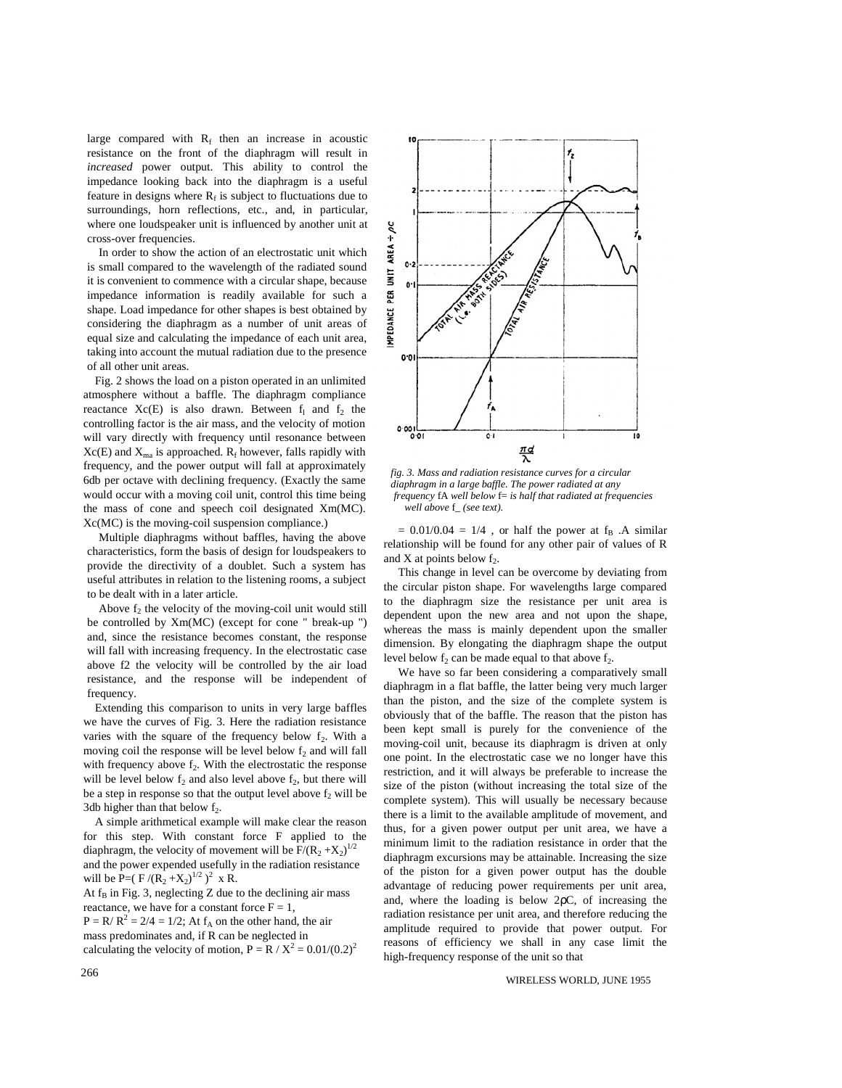large compared with  $R_f$  then an increase in acoustic resistance on the front of the diaphragm will result in *increased* power output. This ability to control the impedance looking back into the diaphragm is a useful feature in designs where  $R_f$  is subject to fluctuations due to surroundings, horn reflections, etc., and, in particular, where one loudspeaker unit is influenced by another unit at cross-over frequencies.

In order to show the action of an electrostatic unit which is small compared to the wavelength of the radiated sound it is convenient to commence with a circular shape, because impedance information is readily available for such a shape. Load impedance for other shapes is best obtained by considering the diaphragm as a number of unit areas of equal size and calculating the impedance of each unit area, taking into account the mutual radiation due to the presence of all other unit areas.

Fig. 2 shows the load on a piston operated in an unlimited atmosphere without a baffle. The diaphragm compliance reactance  $Xc(E)$  is also drawn. Between  $f_1$  and  $f_2$  the controlling factor is the air mass, and the velocity of motion will vary directly with frequency until resonance between  $Xc(E)$  and  $X<sub>ma</sub>$  is approached.  $R<sub>f</sub>$  however, falls rapidly with frequency, and the power output will fall at approximately 6db per octave with declining frequency. (Exactly the same would occur with a moving coil unit, control this time being the mass of cone and speech coil designated Xm(MC). Xc(MC) is the moving-coil suspension compliance.)

Multiple diaphragms without baffles, having the above characteristics, form the basis of design for loudspeakers to provide the directivity of a doublet. Such a system has useful attributes in relation to the listening rooms, a subject to be dealt with in a later article.

Above  $f_2$  the velocity of the moving-coil unit would still be controlled by Xm(MC) (except for cone " break-up ") and, since the resistance becomes constant, the response will fall with increasing frequency. In the electrostatic case above f2 the velocity will be controlled by the air load resistance, and the response will be independent of frequency.

Extending this comparison to units in very large baffles we have the curves of Fig. 3. Here the radiation resistance varies with the square of the frequency below  $f<sub>2</sub>$ . With a moving coil the response will be level below  $f_2$  and will fall with frequency above  $f_2$ . With the electrostatic the response will be level below  $f_2$  and also level above  $f_2$ , but there will be a step in response so that the output level above  $f_2$  will be 3db higher than that below  $f_2$ .

A simple arithmetical example will make clear the reason for this step. With constant force F applied to the diaphragm, the velocity of movement will be  $F/(R_2 + X_2)^{1/2}$ and the power expended usefully in the radiation resistance will be P= $(F/(R_2 + X_2)^{1/2})^2$  x R.

At  $f_B$  in Fig. 3, neglecting Z due to the declining air mass reactance, we have for a constant force  $F = 1$ ,  $P = R/R^2 = 2/4 = 1/2$ ; At  $f_A$  on the other hand, the air mass predominates and, if R can be neglected in calculating the velocity of motion,  $P = R / X^2 = 0.01/(0.2)^2$ 



*fig. 3. Mass and radiation resistance curves for a circular diaphragm in a large baffle. The power radiated at any frequency* fA *well below* f= *is half that radiated at frequencies well above* f\_ *(see text).*

 $= 0.01/0.04 = 1/4$ , or half the power at f<sub>B</sub> .A similar relationship will be found for any other pair of values of R and X at points below  $f_2$ .

This change in level can be overcome by deviating from the circular piston shape. For wavelengths large compared to the diaphragm size the resistance per unit area is dependent upon the new area and not upon the shape, whereas the mass is mainly dependent upon the smaller dimension. By elongating the diaphragm shape the output level below  $f_2$  can be made equal to that above  $f_2$ .

We have so far been considering a comparatively small diaphragm in a flat baffle, the latter being very much larger than the piston, and the size of the complete system is obviously that of the baffle. The reason that the piston has been kept small is purely for the convenience of the moving-coil unit, because its diaphragm is driven at only one point. In the electrostatic case we no longer have this restriction, and it will always be preferable to increase the size of the piston (without increasing the total size of the complete system). This will usually be necessary because there is a limit to the available amplitude of movement, and thus, for a given power output per unit area, we have a minimum limit to the radiation resistance in order that the diaphragm excursions may be attainable. Increasing the size of the piston for a given power output has the double advantage of reducing power requirements per unit area, and, where the loading is below 2ρC, of increasing the radiation resistance per unit area, and therefore reducing the amplitude required to provide that power output. For reasons of efficiency we shall in any case limit the high-frequency response of the unit so that

#### WIRELESS WORLD, JUNE 1955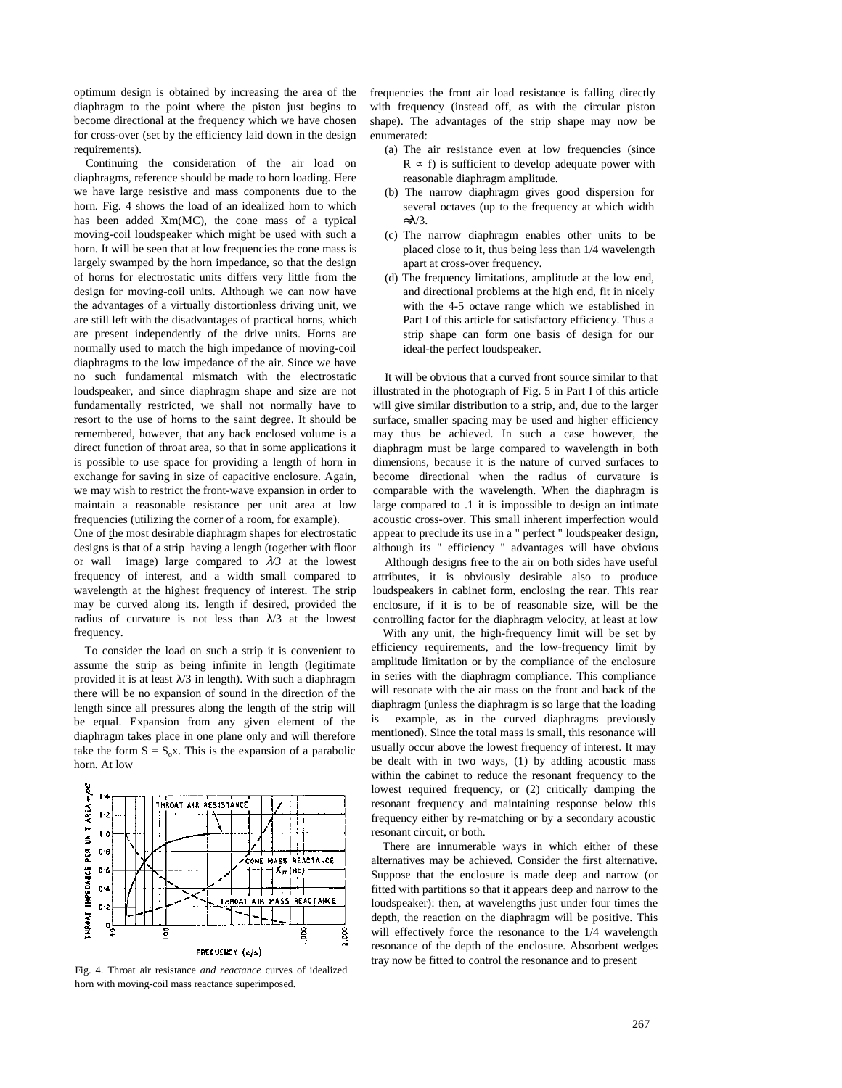optimum design is obtained by increasing the area of the diaphragm to the point where the piston just begins to become directional at the frequency which we have chosen for cross-over (set by the efficiency laid down in the design requirements).

Continuing the consideration of the air load on diaphragms, reference should be made to horn loading. Here we have large resistive and mass components due to the horn. Fig. 4 shows the load of an idealized horn to which has been added Xm(MC), the cone mass of a typical moving-coil loudspeaker which might be used with such a horn. It will be seen that at low frequencies the cone mass is largely swamped by the horn impedance, so that the design of horns for electrostatic units differs very little from the design for moving-coil units. Although we can now have the advantages of a virtually distortionless driving unit, we are still left with the disadvantages of practical horns, which are present independently of the drive units. Horns are normally used to match the high impedance of moving-coil diaphragms to the low impedance of the air. Since we have no such fundamental mismatch with the electrostatic loudspeaker, and since diaphragm shape and size are not fundamentally restricted, we shall not normally have to resort to the use of horns to the saint degree. It should be remembered, however, that any back enclosed volume is a direct function of throat area, so that in some applications it is possible to use space for providing a length of horn in exchange for saving in size of capacitive enclosure. Again, we may wish to restrict the front-wave expansion in order to maintain a reasonable resistance per unit area at low frequencies (utilizing the corner of a room, for example).

One of the most desirable diaphragm shapes for electrostatic designs is that of a strip having a length (together with floor or wall image) large compared to  $\lambda/3$  at the lowest frequency of interest, and a width small compared to wavelength at the highest frequency of interest. The strip may be curved along its. length if desired, provided the radius of curvature is not less than  $\lambda/3$  at the lowest frequency.

To consider the load on such a strip it is convenient to assume the strip as being infinite in length (legitimate provided it is at least  $\lambda/3$  in length). With such a diaphragm there will be no expansion of sound in the direction of the length since all pressures along the length of the strip will be equal. Expansion from any given element of the diaphragm takes place in one plane only and will therefore take the form  $S = S_0x$ . This is the expansion of a parabolic horn. At low



Fig. 4. Throat air resistance *and reactance* curves of idealized horn with moving-coil mass reactance superimposed.

frequencies the front air load resistance is falling directly with frequency (instead off, as with the circular piston shape). The advantages of the strip shape may now be enumerated:

- (a) The air resistance even at low frequencies (since  $R \propto f$ ) is sufficient to develop adequate power with reasonable diaphragm amplitude.
- (b) The narrow diaphragm gives good dispersion for several octaves (up to the frequency at which width ≈λ/3.
- (c) The narrow diaphragm enables other units to be placed close to it, thus being less than 1/4 wavelength apart at cross-over frequency.
- (d) The frequency limitations, amplitude at the low end, and directional problems at the high end, fit in nicely with the 4-5 octave range which we established in Part I of this article for satisfactory efficiency. Thus a strip shape can form one basis of design for our ideal-the perfect loudspeaker.

It will be obvious that a curved front source similar to that illustrated in the photograph of Fig. 5 in Part I of this article will give similar distribution to a strip, and, due to the larger surface, smaller spacing may be used and higher efficiency may thus be achieved. In such a case however, the diaphragm must be large compared to wavelength in both dimensions, because it is the nature of curved surfaces to become directional when the radius of curvature is comparable with the wavelength. When the diaphragm is large compared to .1 it is impossible to design an intimate acoustic cross-over. This small inherent imperfection would appear to preclude its use in a " perfect " loudspeaker design, although its " efficiency " advantages will have obvious

Although designs free to the air on both sides have useful attributes, it is obviously desirable also to produce loudspeakers in cabinet form, enclosing the rear. This rear enclosure, if it is to be of reasonable size, will be the controlling factor for the diaphragm velocity, at least at low

With any unit, the high-frequency limit will be set by efficiency requirements, and the low-frequency limit by amplitude limitation or by the compliance of the enclosure in series with the diaphragm compliance. This compliance will resonate with the air mass on the front and back of the diaphragm (unless the diaphragm is so large that the loading is example, as in the curved diaphragms previously mentioned). Since the total mass is small, this resonance will usually occur above the lowest frequency of interest. It may be dealt with in two ways, (1) by adding acoustic mass within the cabinet to reduce the resonant frequency to the lowest required frequency, or (2) critically damping the resonant frequency and maintaining response below this frequency either by re-matching or by a secondary acoustic resonant circuit, or both.

There are innumerable ways in which either of these alternatives may be achieved. Consider the first alternative. Suppose that the enclosure is made deep and narrow (or fitted with partitions so that it appears deep and narrow to the loudspeaker): then, at wavelengths just under four times the depth, the reaction on the diaphragm will be positive. This will effectively force the resonance to the 1/4 wavelength resonance of the depth of the enclosure. Absorbent wedges tray now be fitted to control the resonance and to present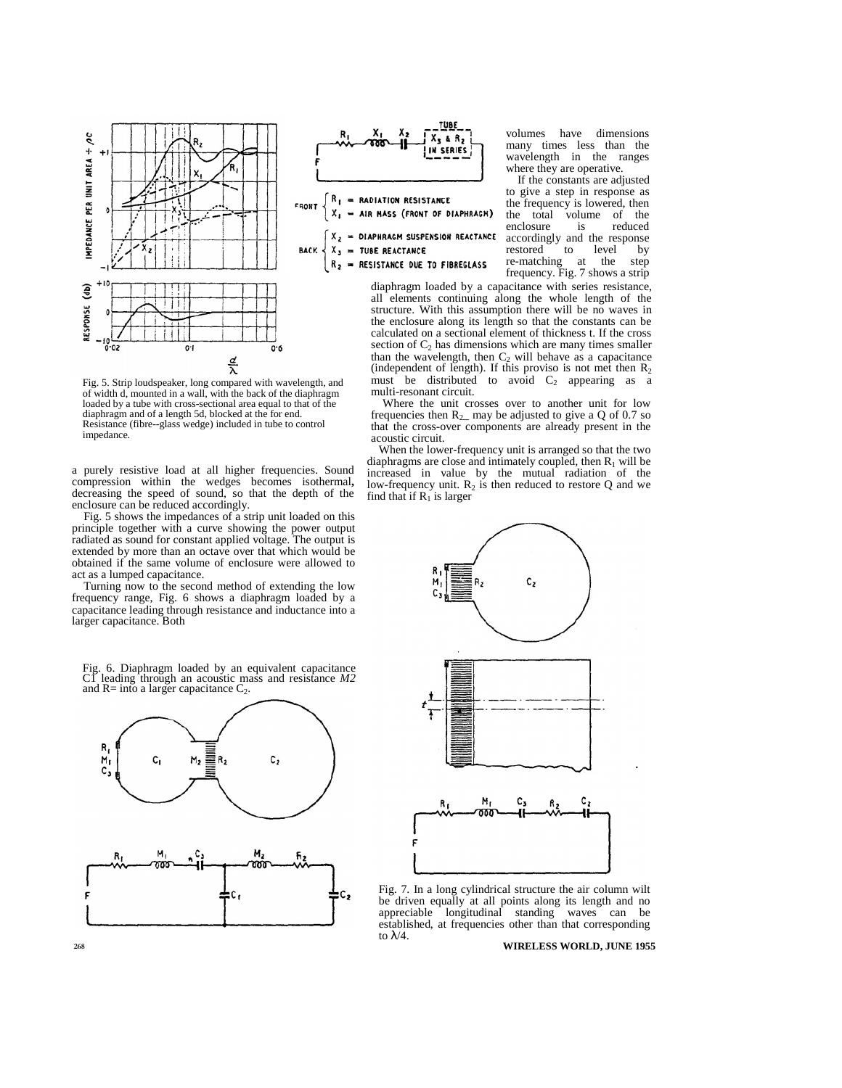



**RADIATION RESISTANCE** FRONT = AIR MASS (FRONT OF DIAPHRAGM)

= DIAPHRAGM SUSPENSION REACTANCE х, X, = TUBE REACTANCE  $R_{2}$ = RESISTANCE DUE TO FIBREGLASS

re-matching at the step frequency. Fig. 7 shows a strip diaphragm loaded by a capacitance with series resistance, all elements continuing along the whole length of the structure. With this assumption there will be no waves in the enclosure along its length so that the constants can be calculated on a sectional element of thickness t. If the cross section of  $C_2$  has dimensions which are many times smaller than the wavelength, then  $C_2$  will behave as a capacitance (independent of length). If this proviso is not met then  $R_2$ must be distributed to avoid  $C_2$  appearing as a multi-resonant circuit.

enclosure is

volumes have dimensions many times less than the wavelength in the ranges where they are operative. If the constants are adjusted to give a step in response as the frequency is lowered, then the total volume of the<br>enclosure is reduced

accordingly and the response<br>restored to level by restored to level by

Where the unit crosses over to another unit for low frequencies then  $R_2$  may be adjusted to give a Q of 0.7 so that the cross-over components are already present in the acoustic circuit.

When the lower-frequency unit is arranged so that the two diaphragms are close and intimately coupled, then  $R_1$  will be increased in value by the mutual radiation of the low-frequency unit.  $R_2$  is then reduced to restore Q and we find that if  $R_1$  is larger



Fig. 7. In a long cylindrical structure the air column wilt be driven equally at all points along its length and no appreciable longitudinal standing waves can be established, at frequencies other than that corresponding to  $\lambda/4$ .

to 268 **WIRELESS WORLD, JUNE 1955** 

Fig. 5. Strip loudspeaker, long compared with wavelength, and of width d, mounted in a wall, with the back of the diaphragm loaded by a tube with cross-sectional area equal to that of the diaphragm and of a length 5d, blocked at the for end. Resistance (fibre--glass wedge) included in tube to control impedance.

a purely resistive load at all higher frequencies. Sound compression within the wedges becomes isothermal, decreasing the speed of sound, so that the depth of the enclosure can be reduced accordingly.

Fig. 5 shows the impedances of a strip unit loaded on this principle together with a curve showing the power output radiated as sound for constant applied voltage. The output is extended by more than an octave over that which would be obtained if the same volume of enclosure were allowed to act as a lumped capacitance.

Turning now to the second method of extending the low frequency range, Fig. 6 shows a diaphragm loaded by a capacitance leading through resistance and inductance into a larger capacitance. Both

Fig. 6. Diaphragm loaded by an equivalent capacitance C1 leading through an acoustic mass and resistance *M2* and  $R=$  into a larger capacitance  $C_2$ .

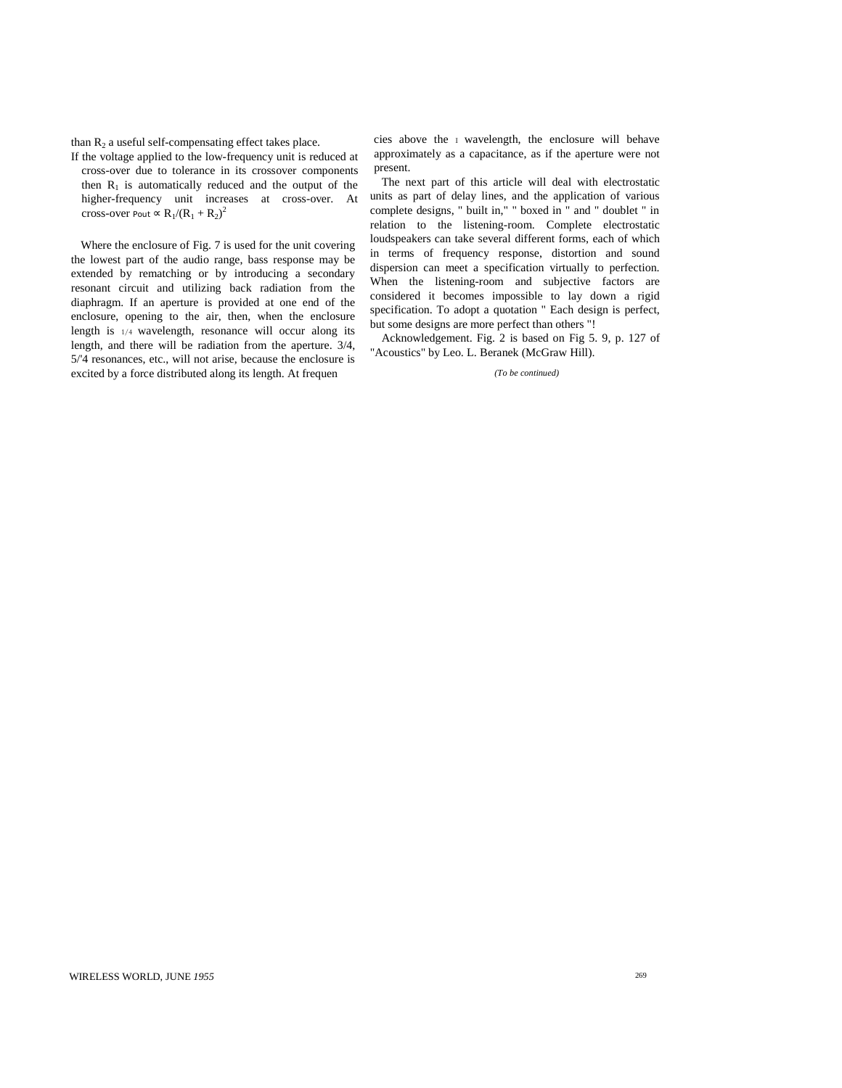than  $R_2$  a useful self-compensating effect takes place.

If the voltage applied to the low-frequency unit is reduced at cross-over due to tolerance in its crossover components then  $R_1$  is automatically reduced and the output of the higher-frequency unit increases at cross-over. At cross-over Pout  $\propto R_1/(R_1 + R_2)^2$ 

Where the enclosure of Fig. 7 is used for the unit covering the lowest part of the audio range, bass response may be extended by rematching or by introducing a secondary resonant circuit and utilizing back radiation from the diaphragm. If an aperture is provided at one end of the enclosure, opening to the air, then, when the enclosure length is  $1/4$  wavelength, resonance will occur along its length, and there will be radiation from the aperture. 3/4, 5/'4 resonances, etc., will not arise, because the enclosure is excited by a force distributed along its length. At frequen

cies above the  $\bar{1}$  wavelength, the enclosure will behave approximately as a capacitance, as if the aperture were not present.

The next part of this article will deal with electrostatic units as part of delay lines, and the application of various complete designs, " built in," " boxed in " and " doublet " in relation to the listening-room. Complete electrostatic loudspeakers can take several different forms, each of which in terms of frequency response, distortion and sound dispersion can meet a specification virtually to perfection. When the listening-room and subjective factors are considered it becomes impossible to lay down a rigid specification. To adopt a quotation " Each design is perfect, but some designs are more perfect than others "!

Acknowledgement. Fig. 2 is based on Fig 5. 9, p. 127 of "Acoustics" by Leo. L. Beranek (McGraw Hill).

*(To be continued)*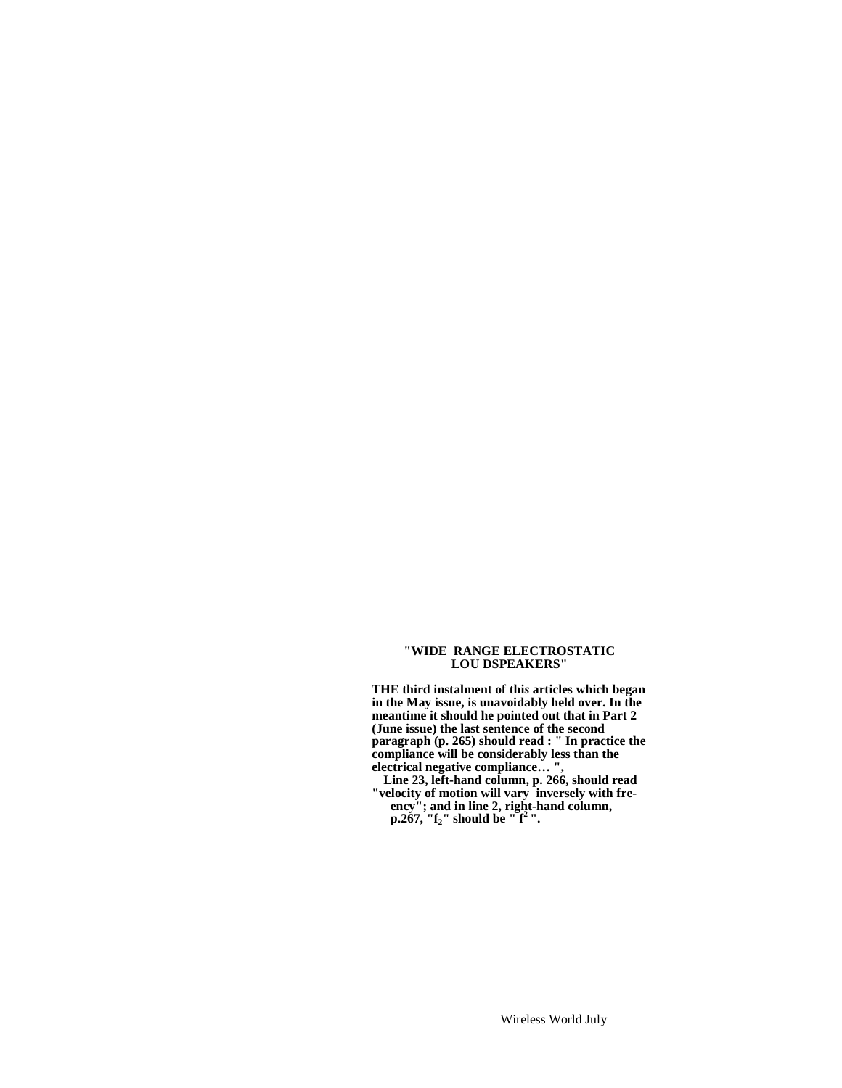#### **"WIDE RANGE ELECTROSTATIC LOU DSPEAKERS"**

**THE third instalment of thi***s* **articles which began in the May issue, is unavoidably held over. In the meantime it should he pointed out that in Part 2 (June issue) the last sentence of the second paragraph (p. 265) should read : " In practice the compliance will be considerably less than the electrical negative compliance… ",**

**Line 23, left-hand column, p. 266, should read "velocity of motion will vary inversely with freency"; and in line 2, right-hand column, p.267, "f2" should be " f<sup>2</sup> ".**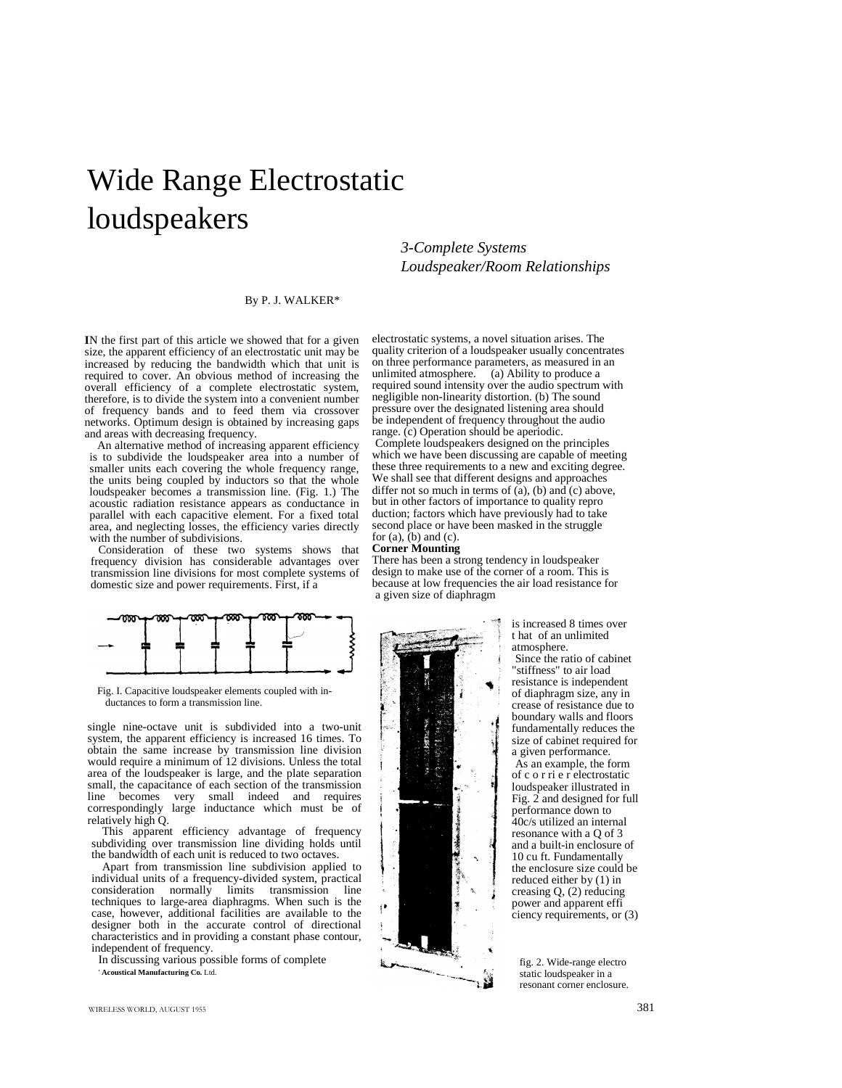# Wide Range Electrostatic loudspeakers

## *3-Complete Systems Loudspeaker/Room Relationships*

electrostatic systems, a novel situation arises. The quality criterion of a loudspeaker usually concentrates on three performance parameters, as measured in an unlimited atmosphere. (a) Ability to produce a required sound intensity over the audio spectrum with negligible non-linearity distortion. (b) The sound pressure over the designated listening area should be independent of frequency throughout the audio range. (c) Operation should be aperiodic. Complete loudspeakers designed on the principles which we have been discussing are capable of meeting these three requirements to a new and exciting degree. We shall see that different designs and approaches

#### By P. J. WALKER\*

**I**N the first part of this article we showed that for a given size, the apparent efficiency of an electrostatic unit may be increased by reducing the bandwidth which that unit is required to cover. An obvious method of increasing the overall efficiency of a complete electrostatic system, therefore, is to divide the system into a convenient number of frequency bands and to feed them via crossover networks. Optimum design is obtained by increasing gaps and areas with decreasing frequency.

An alternative method of increasing apparent efficiency is to subdivide the loudspeaker area into a number of smaller units each covering the whole frequency range, the units being coupled by inductors so that the whole loudspeaker becomes a transmission line. (Fig. 1.) The acoustic radiation resistance appears as conductance in parallel with each capacitive element. For a fixed total area, and neglecting losses, the efficiency varies directly with the number of subdivisions.

Consideration of these two systems shows that frequency division has considerable advantages over transmission line divisions for most complete systems of domestic size and power requirements. First, if a



Fig. I. Capacitive loudspeaker elements coupled with inductances to form a transmission line.

single nine-octave unit is subdivided into a two-unit system, the apparent efficiency is increased 16 times. To obtain the same increase by transmission line division would require a minimum of 12 divisions. Unless the total area of the loudspeaker is large, and the plate separation small, the capacitance of each section of the transmission<br>line becomes very small indeed and requires line becomes very small indeed and requires correspondingly large inductance which must be of relatively high Q.

This apparent efficiency advantage of frequency subdividing over transmission line dividing holds until the bandwidth of each unit is reduced to two octaves.

Apart from transmission line subdivision applied to individual units of a frequency-divided system, practical<br>consideration normally limits transmission line limits transmission techniques to large-area diaphragms. When such is the case, however, additional facilities are available to the designer both in the accurate control of directional characteristics and in providing a constant phase contour, independent of frequency.

In discussing various possible forms of complete ' **Acoustical Manufacturing Co.** Ltd.

differ not so much in terms of  $(a)$ , (b) and  $(c)$  above, but in other factors of importance to quality repro duction; factors which have previously had to take second place or have been masked in the struggle for  $(a)$ ,  $(b)$  and  $(c)$ . **Corner Mounting** There has been a strong tendency in loudspeaker design to make use of the corner of a room. This is because at low frequencies the air load resistance for a given size of diaphragm



is increased 8 times over t hat of an unlimited atmosphere. Since the ratio of cabinet "stiffness" to air load resistance is independent of diaphragm size, any in crease of resistance due to boundary walls and floors fundamentally reduces the size of cabinet required for a given performance. As an example, the form of c o r ri e r electrostatic loudspeaker illustrated in Fig. 2 and designed for full performance down to 40c/s utilized an internal resonance with a Q of 3 and a built-in enclosure of 10 cu ft. Fundamentally the enclosure size could be reduced either by (1) in creasing Q, (2) reducing power and apparent effi ciency requirements, or (3)

fig. 2. Wide-range electro static loudspeaker in a resonant corner enclosure.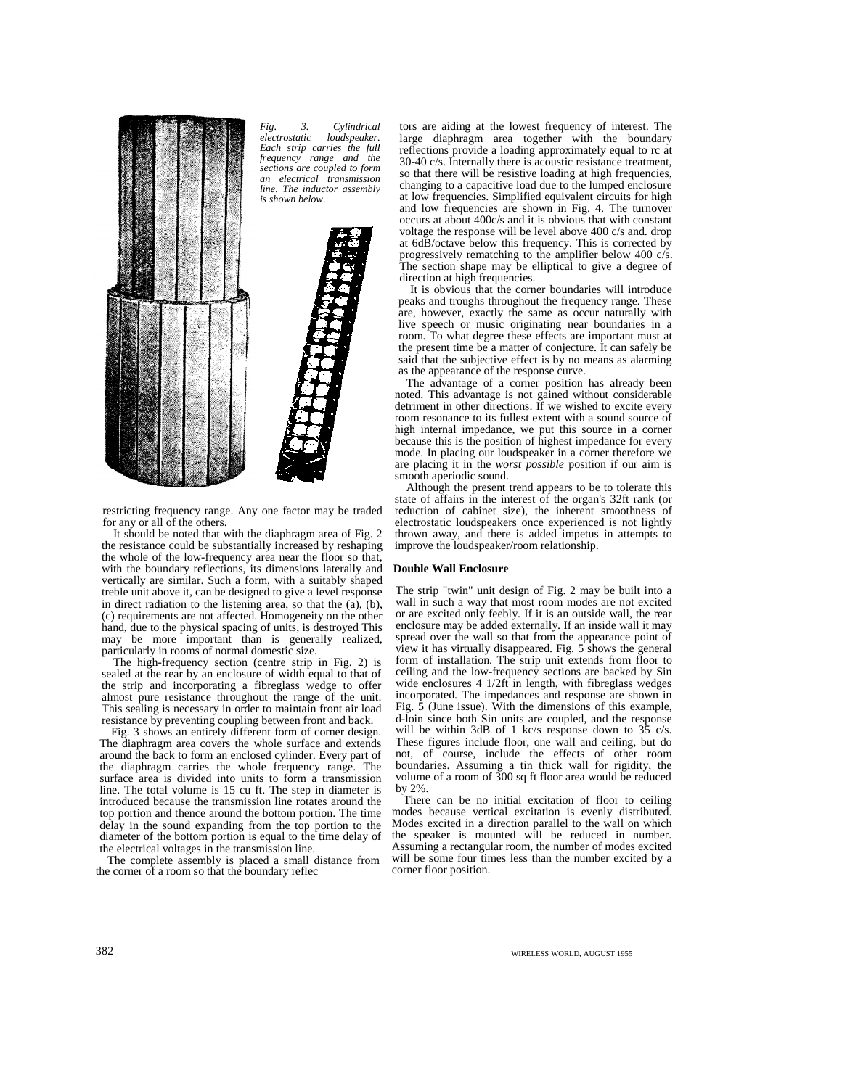

*Fig. 3. Cylindrical*  $loudspeaker.$ *Each strip carries the full frequency range and the sections are coupled to form an electrical transmission line. The inductor assembly is shown below.*



restricting frequency range. Any one factor may be traded for any or all of the others.

It should be noted that with the diaphragm area of Fig. 2 the resistance could be substantially increased by reshaping the whole of the low-frequency area near the floor so that, with the boundary reflections, its dimensions laterally and vertically are similar. Such a form, with a suitably shaped treble unit above it, can be designed to give a level response in direct radiation to the listening area, so that the (a), (b), (c) requirements are not affected. Homogeneity on the other hand, due to the physical spacing of units, is destroyed This may be more important than is generally realized, particularly in rooms of normal domestic size.

The high-frequency section (centre strip in Fig. 2) is sealed at the rear by an enclosure of width equal to that of the strip and incorporating a fibreglass wedge to offer almost pure resistance throughout the range of the unit. This sealing is necessary in order to maintain front air load resistance by preventing coupling between front and back.

Fig. 3 shows an entirely different form of corner design. The diaphragm area covers the whole surface and extends around the back to form an enclosed cylinder. Every part of the diaphragm carries the whole frequency range. The surface area is divided into units to form a transmission line. The total volume is 15 cu ft. The step in diameter is introduced because the transmission line rotates around the top portion and thence around the bottom portion. The time delay in the sound expanding from the top portion to the diameter of the bottom portion is equal to the time delay of the electrical voltages in the transmission line.

The complete assembly is placed a small distance from the corner of a room so that the boundary reflec

tors are aiding at the lowest frequency of interest. The large diaphragm area together with the boundary reflections provide a loading approximately equal to rc at 30-40 c/s. Internally there is acoustic resistance treatment, so that there will be resistive loading at high frequencies, changing to a capacitive load due to the lumped enclosure at low frequencies. Simplified equivalent circuits for high and low frequencies are shown in Fig. 4. The turnover occurs at about 400c/s and it is obvious that with constant voltage the response will be level above 400 c/s and. drop at 6dB/octave below this frequency. This is corrected by progressively rematching to the amplifier below 400 c/s. The section shape may be elliptical to give a degree of direction at high frequencies.

It is obvious that the corner boundaries will introduce peaks and troughs throughout the frequency range. These are, however, exactly the same as occur naturally with live speech or music originating near boundaries in a room. To what degree these effects are important must at the present time be a matter of conjecture. It can safely be said that the subjective effect is by no means as alarming as the appearance of the response curve.

The advantage of a corner position has already been noted. This advantage is not gained without considerable detriment in other directions. If we wished to excite every room resonance to its fullest extent with a sound source of high internal impedance, we put this source in a corner because this is the position of highest impedance for every mode. In placing our loudspeaker in a corner therefore we are placing it in the *worst possible* position if our aim is smooth aperiodic sound.

Although the present trend appears to be to tolerate this state of affairs in the interest of the organ's 32ft rank (or reduction of cabinet size), the inherent smoothness of electrostatic loudspeakers once experienced is not lightly thrown away, and there is added impetus in attempts to improve the loudspeaker/room relationship.

#### **Double Wall Enclosure**

The strip "twin" unit design of Fig. 2 may be built into a wall in such a way that most room modes are not excited or are excited only feebly. If it is an outside wall, the rear enclosure may be added externally. If an inside wall it may spread over the wall so that from the appearance point of view it has virtually disappeared. Fig.  $5$  shows the general form of installation. The strip unit extends from floor to ceiling and the low-frequency sections are backed by Sin wide enclosures 4 1/2ft in length, with fibreglass wedges incorporated. The impedances and response are shown in Fig.  $\bar{5}$  (June issue). With the dimensions of this example, d-loin since both Sin units are coupled, and the response will be within 3dB of 1 kc/s response down to 35 c/s. These figures include floor, one wall and ceiling, but do not, of course, include the effects of other room boundaries. Assuming a tin thick wall for rigidity, the volume of a room of  $300$  sq ft floor area would be reduced by 2%.

There can be no initial excitation of floor to ceiling modes because vertical excitation is evenly distributed. Modes excited in a direction parallel to the wall on which the speaker is mounted will be reduced in number. Assuming a rectangular room, the number of modes excited will be some four times less than the number excited by a corner floor position.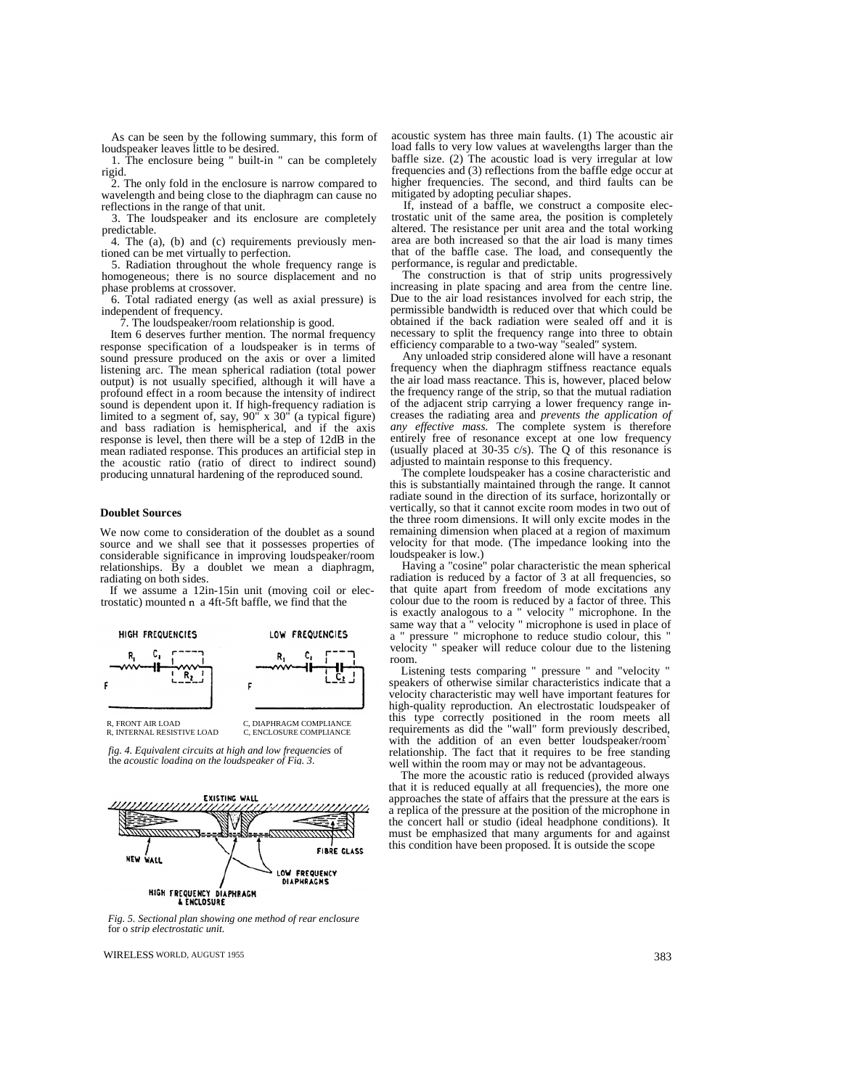As can be seen by the following summary, this form of loudspeaker leaves little to be desired.

1. The enclosure being " built-in " can be completely rigid.

2. The only fold in the enclosure is narrow compared to wavelength and being close to the diaphragm can cause no reflections in the range of that unit.

3. The loudspeaker and its enclosure are completely predictable.

4. The (a), (b) and (c) requirements previously mentioned can be met virtually to perfection.

5. Radiation throughout the whole frequency range is homogeneous; there is no source displacement and no phase problems at crossover.

6. Total radiated energy (as well as axial pressure) is independent of frequency.

7. The loudspeaker/room relationship is good.

Item 6 deserves further mention. The normal frequency response specification of a loudspeaker is in terms of sound pressure produced on the axis or over a limited listening arc. The mean spherical radiation (total power output) is not usually specified, although it will have a profound effect in a room because the intensity of indirect sound is dependent upon it. If high-frequency radiation is limited to a segment of, say, 90" x 30" (a typical figure) and bass radiation is hemispherical, and if the axis response is level, then there will be a step of 12dB in the mean radiated response. This produces an artificial step in the acoustic ratio (ratio of direct to indirect sound) producing unnatural hardening of the reproduced sound.

#### **Doublet Sources**

We now come to consideration of the doublet as a sound source and we shall see that it possesses properties of considerable significance in improving loudspeaker/room relationships. By a doublet we mean a diaphragm, radiating on both sides.

If we assume a 12in-15in unit (moving coil or electrostatic) mounted  $n a 4ft-5ft$  baffle, we find that the



*fig. 4. Equivalent circuits at high and low frequencies* of the *acoustic loading on the loudspeaker of Fig. 3.*



acoustic system has three main faults. (1) The acoustic air load falls to very low values at wavelengths larger than the baffle size. (2) The acoustic load is very irregular at low frequencies and (3) reflections from the baffle edge occur at higher frequencies. The second, and third faults can be mitigated by adopting peculiar shapes.

If, instead of a baffle, we construct a composite electrostatic unit of the same area, the position is completely altered. The resistance per unit area and the total working area are both increased so that the air load is many times that of the baffle case. The load, and consequently the performance, is regular and predictable.

The construction is that of strip units progressively increasing in plate spacing and area from the centre line. Due to the air load resistances involved for each strip, the permissible bandwidth is reduced over that which could be obtained if the back radiation were sealed off and it is necessary to split the frequency range into three to obtain efficiency comparable to a two-way "sealed" system.

Any unloaded strip considered alone will have a resonant frequency when the diaphragm stiffness reactance equals the air load mass reactance. This is, however, placed below the frequency range of the strip, so that the mutual radiation of the adjacent strip carrying a lower frequency range increases the radiating area and *prevents the application of any effective mass.* The complete system is therefore entirely free of resonance except at one low frequency (usually placed at  $30-35$  c/s). The Q of this resonance is adjusted to maintain response to this frequency.

The complete loudspeaker has a cosine characteristic and this is substantially maintained through the range. It cannot radiate sound in the direction of its surface, horizontally or vertically, so that it cannot excite room modes in two out of the three room dimensions. It will only excite modes in the remaining dimension when placed at a region of maximum velocity for that mode. (The impedance looking into the loudspeaker is low.)

Having a "cosine" polar characteristic the mean spherical radiation is reduced by a factor of 3 at all frequencies, so that quite apart from freedom of mode excitations any colour due to the room is reduced by a factor of three. This is exactly analogous to a " velocity " microphone. In the same way that a " velocity " microphone is used in place of a " pressure " microphone to reduce studio colour, this " velocity " speaker will reduce colour due to the listening room.

Listening tests comparing " pressure " and "velocity " speakers of otherwise similar characteristics indicate that a velocity characteristic may well have important features for high-quality reproduction. An electrostatic loudspeaker of this type correctly positioned in the room meets all requirements as did the "wall" form previously described, with the addition of an even better loudspeaker/room` relationship. The fact that it requires to be free standing well within the room may or may not be advantageous.

The more the acoustic ratio is reduced (provided always that it is reduced equally at all frequencies), the more one approaches the state of affairs that the pressure at the ears is a replica of the pressure at the position of the microphone in the concert hall or studio (ideal headphone conditions). It must be emphasized that many arguments for and against this condition have been proposed. It is outside the scope

*Fig. 5. Sectional plan showing one method of rear enclosure* for o *strip electrostatic unit.*

WIRELESS WORLD, AUGUST 1955